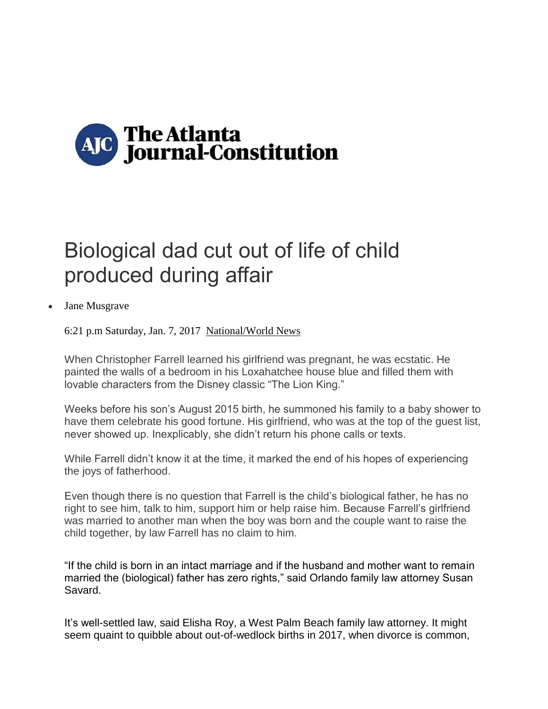

## Biological dad cut out of life of child produced during affair

Jane Musgrave

6:21 p.m Saturday, Jan. 7, 2017 National/World News

When Christopher Farrell learned his girlfriend was pregnant, he was ecstatic. He painted the walls of a bedroom in his Loxahatchee house blue and filled them with lovable characters from the Disney classic "The Lion King."

Weeks before his son's August 2015 birth, he summoned his family to a baby shower to have them celebrate his good fortune. His girlfriend, who was at the top of the guest list, never showed up. Inexplicably, she didn't return his phone calls or texts.

While Farrell didn't know it at the time, it marked the end of his hopes of experiencing the joys of fatherhood.

Even though there is no question that Farrell is the child's biological father, he has no right to see him, talk to him, support him or help raise him. Because Farrell's girlfriend was married to another man when the boy was born and the couple want to raise the child together, by law Farrell has no claim to him.

"If the child is born in an intact marriage and if the husband and mother want to remain married the (biological) father has zero rights," said Orlando family law attorney Susan Savard.

It's well-settled law, said Elisha Roy, a West Palm Beach family law attorney. It might seem quaint to quibble about out-of-wedlock births in 2017, when divorce is common,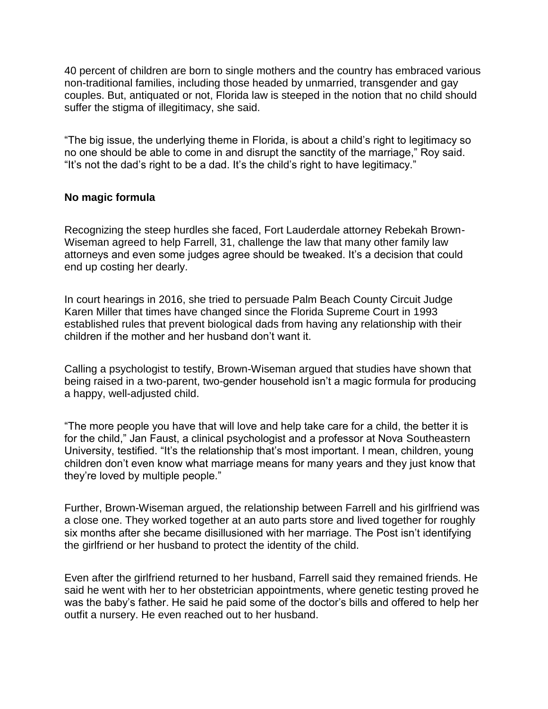40 percent of children are born to single mothers and the country has embraced various non-traditional families, including those headed by unmarried, transgender and gay couples. But, antiquated or not, Florida law is steeped in the notion that no child should suffer the stigma of illegitimacy, she said.

"The big issue, the underlying theme in Florida, is about a child's right to legitimacy so no one should be able to come in and disrupt the sanctity of the marriage," Roy said. "It's not the dad's right to be a dad. It's the child's right to have legitimacy."

## **No magic formula**

Recognizing the steep hurdles she faced, Fort Lauderdale attorney Rebekah Brown-Wiseman agreed to help Farrell, 31, challenge the law that many other family law attorneys and even some judges agree should be tweaked. It's a decision that could end up costing her dearly.

In court hearings in 2016, she tried to persuade Palm Beach County Circuit Judge Karen Miller that times have changed since the Florida Supreme Court in 1993 established rules that prevent biological dads from having any relationship with their children if the mother and her husband don't want it.

Calling a psychologist to testify, Brown-Wiseman argued that studies have shown that being raised in a two-parent, two-gender household isn't a magic formula for producing a happy, well-adjusted child.

"The more people you have that will love and help take care for a child, the better it is for the child," Jan Faust, a clinical psychologist and a professor at Nova Southeastern University, testified. "It's the relationship that's most important. I mean, children, young children don't even know what marriage means for many years and they just know that they're loved by multiple people."

Further, Brown-Wiseman argued, the relationship between Farrell and his girlfriend was a close one. They worked together at an auto parts store and lived together for roughly six months after she became disillusioned with her marriage. The Post isn't identifying the girlfriend or her husband to protect the identity of the child.

Even after the girlfriend returned to her husband, Farrell said they remained friends. He said he went with her to her obstetrician appointments, where genetic testing proved he was the baby's father. He said he paid some of the doctor's bills and offered to help her outfit a nursery. He even reached out to her husband.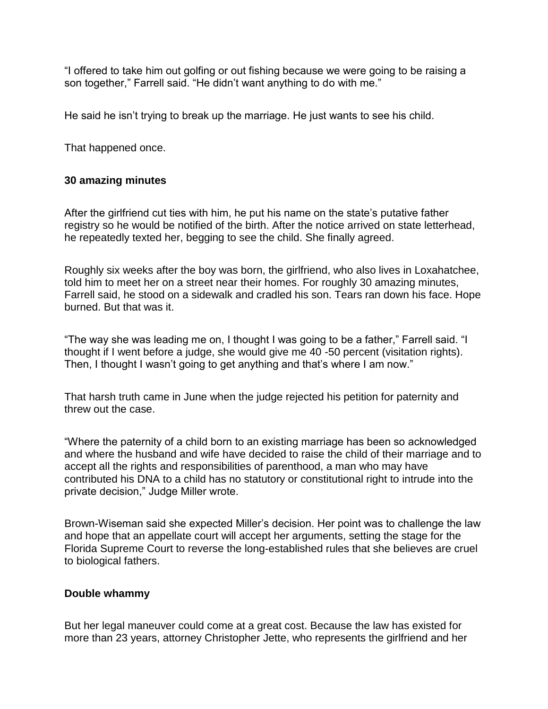"I offered to take him out golfing or out fishing because we were going to be raising a son together," Farrell said. "He didn't want anything to do with me."

He said he isn't trying to break up the marriage. He just wants to see his child.

That happened once.

## **30 amazing minutes**

After the girlfriend cut ties with him, he put his name on the state's putative father registry so he would be notified of the birth. After the notice arrived on state letterhead, he repeatedly texted her, begging to see the child. She finally agreed.

Roughly six weeks after the boy was born, the girlfriend, who also lives in Loxahatchee, told him to meet her on a street near their homes. For roughly 30 amazing minutes, Farrell said, he stood on a sidewalk and cradled his son. Tears ran down his face. Hope burned. But that was it.

"The way she was leading me on, I thought I was going to be a father," Farrell said. "I thought if I went before a judge, she would give me 40 -50 percent (visitation rights). Then, I thought I wasn't going to get anything and that's where I am now."

That harsh truth came in June when the judge rejected his petition for paternity and threw out the case.

"Where the paternity of a child born to an existing marriage has been so acknowledged and where the husband and wife have decided to raise the child of their marriage and to accept all the rights and responsibilities of parenthood, a man who may have contributed his DNA to a child has no statutory or constitutional right to intrude into the private decision," Judge Miller wrote.

Brown-Wiseman said she expected Miller's decision. Her point was to challenge the law and hope that an appellate court will accept her arguments, setting the stage for the Florida Supreme Court to reverse the long-established rules that she believes are cruel to biological fathers.

## **Double whammy**

But her legal maneuver could come at a great cost. Because the law has existed for more than 23 years, attorney Christopher Jette, who represents the girlfriend and her